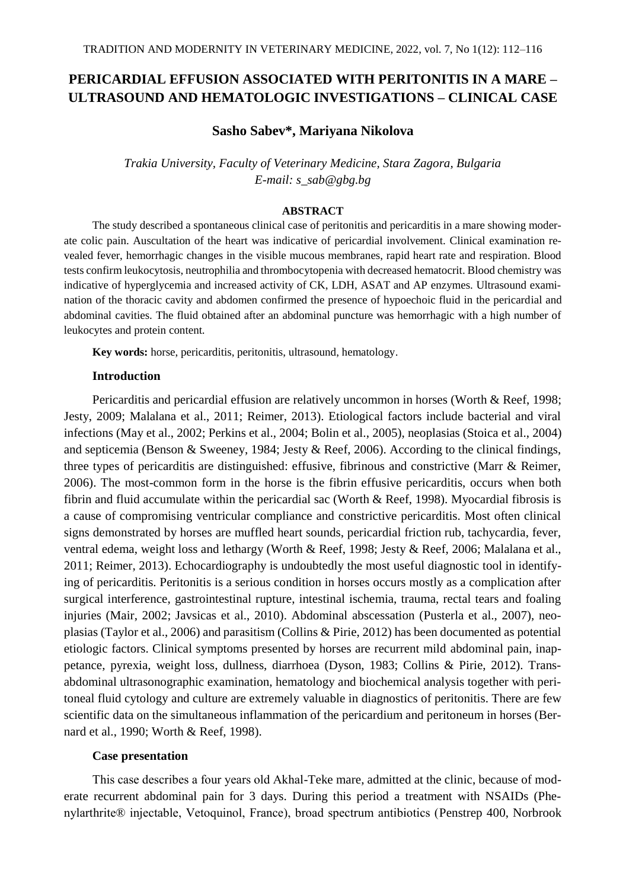# **PERICARDIAL EFFUSION ASSOCIATED WITH PERITONITIS IN A MARE – ULTRASOUND AND HEMATOLOGIC INVESTIGATIONS – CLINICAL CASE**

#### **Sasho Sabev\*, Mariyana Nikolova**

*Trakia University, Faculty of Veterinary Medicine, Stara Zagora, Bulgaria E-mail: s\_sab@gbg.bg*

#### **ABSTRACT**

The study described a spontaneous clinical case of peritonitis and pericarditis in a mare showing moderate colic pain. Auscultation of the heart was indicative of pericardial involvement. Clinical examination revealed fever, hemorrhagic changes in the visible mucous membranes, rapid heart rate and respiration. Blood tests confirm leukocytosis, neutrophilia and thrombocytopenia with decreased hematocrit. Blood chemistry was indicative of hyperglycemia and increased activity of CK, LDH, ASAT and AP enzymes. Ultrasound examination of the thoracic cavity and abdomen confirmed the presence of hypoechoic fluid in the pericardial and abdominal cavities. The fluid obtained after an abdominal puncture was hemorrhagic with a high number of leukocytes and protein content.

**Key words:** horse, pericarditis, peritonitis, ultrasound, hematology.

#### **Introduction**

Pericarditis and pericardial effusion are relatively uncommon in horses (Worth & Reef, 1998; Jesty, 2009; Malalana et al., 2011; Reimer, 2013). Etiological factors include bacterial and viral infections (May et al., 2002; Perkins et al., 2004; Bolin et al., 2005), neoplasias (Stoica et al., 2004) and septicemia (Benson & Sweeney, 1984; Jesty & Reef, 2006). According to the clinical findings, three types of pericarditis are distinguished: effusive, fibrinous and constrictive (Marr & Reimer, 2006). The most-common form in the horse is the fibrin effusive pericarditis, occurs when both fibrin and fluid accumulate within the pericardial sac (Worth & Reef, 1998). Myocardial fibrosis is a cause of compromising ventricular compliance and constrictive pericarditis. Most often clinical signs demonstrated by horses are muffled heart sounds, pericardial friction rub, tachycardia, fever, ventral edema, weight loss and lethargy (Worth & Reef, 1998; Jesty & Reef, 2006; Malalana et al., 2011; Reimer, 2013). Echocardiography is undoubtedly the most useful diagnostic tool in identifying of pericarditis. Peritonitis is a serious condition in horses occurs mostly as a complication after surgical interference, gastrointestinal rupture, intestinal ischemia, trauma, rectal tears and foaling injuries (Mair, 2002; Javsicas et al., 2010). Abdominal abscessation (Pusterla et al., 2007), neoplasias (Taylor et al., 2006) and parasitism (Collins & Pirie, 2012) has been documented as potential etiologic factors. Clinical symptoms presented by horses are recurrent mild abdominal pain, inappetance, pyrexia, weight loss, dullness, diarrhoea (Dyson, 1983; Collins & Pirie, 2012). Transabdominal ultrasonographic examination, hematology and biochemical analysis together with peritoneal fluid cytology and culture are extremely valuable in diagnostics of peritonitis. There are few scientific data on the simultaneous inflammation of the pericardium and peritoneum in horses (Bernard et al., 1990; Worth & Reef, 1998).

## **Case presentation**

This case describes а four years old Akhal-Teke mare, admitted at the clinic, because of moderate recurrent abdominal pain for 3 days. During this period a treatment with NSAIDs (Phenylarthrite® injectable, Vetoquinol, France), broad spectrum antibiotics (Penstrep 400, Norbrook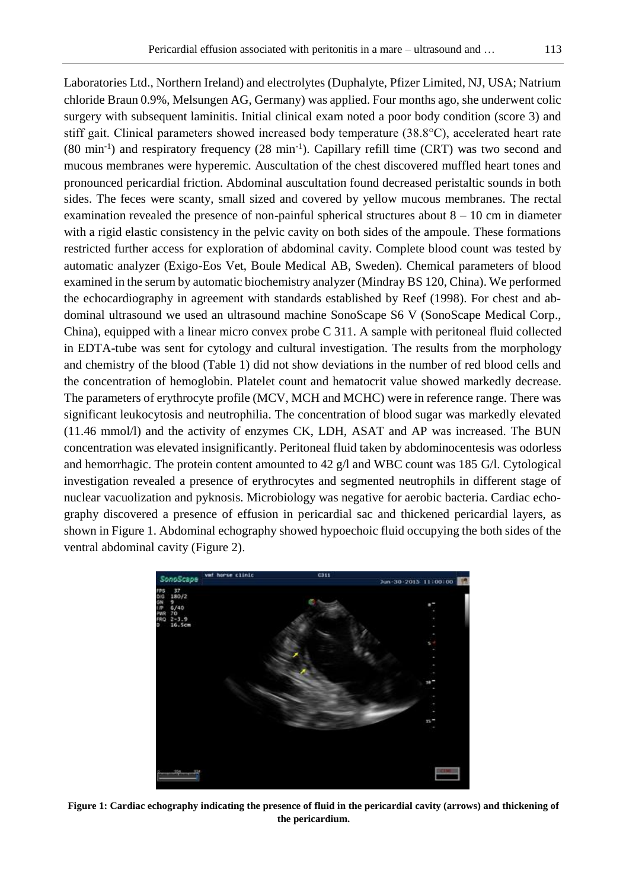Laboratories Ltd., Northern Ireland) and electrolytes (Duphalyte, Pfizer Limited, NJ, USA; Natrium chloride Braun 0.9%, Melsungen AG, Germany) was applied. Four months ago, she underwent colic surgery with subsequent laminitis. Initial clinical exam noted a poor body condition (score 3) and stiff gait. Clinical parameters showed increased body temperature (38.8°C), accelerated heart rate (80 min-1 ) and respiratory frequency (28 min-1 ). Capillary refill time (CRT) was two second and mucous membranes were hyperemic. Auscultation of the chest discovered muffled heart tones and pronounced pericardial friction. Abdominal auscultation found decreased peristaltic sounds in both sides. The feces were scanty, small sized and covered by yellow mucous membranes. The rectal examination revealed the presence of non-painful spherical structures about  $8 - 10$  cm in diameter with a rigid elastic consistency in the pelvic cavity on both sides of the ampoule. These formations restricted further access for exploration of abdominal cavity. Complete blood count was tested by automatic analyzer (Exigo-Eos Vet, Boule Medical AB, Sweden). Chemical parameters of blood examined in the serum by automatic biochemistry analyzer (Mindray BS 120, China). We performed the echocardiography in agreement with standards established by Reef (1998). For chest and abdominal ultrasound we used an ultrasound machine SonoScape S6 V (SonoScape Medical Corp., China), equipped with a linear micro convex probe C 311. A sample with peritoneal fluid collected in EDTA-tube was sent for cytology and cultural investigation. The results from the morphology and chemistry of the blood (Table 1) did not show deviations in the number of red blood cells and the concentration of hemoglobin. Platelet count and hematocrit value showed markedly decrease. The parameters of erythrocyte profile (MCV, MCH and MCHC) were in reference range. There was significant leukocytosis and neutrophilia. The concentration of blood sugar was markedly elevated (11.46 mmol/l) and the activity of enzymes CK, LDH, ASAT and AP was increased. The BUN concentration was elevated insignificantly. Peritoneal fluid taken by abdominocentesis was odorless and hemorrhagic. The protein content amounted to 42  $g/l$  and WBC count was 185 G $/l$ . Cytological investigation revealed a presence of erythrocytes and segmented neutrophils in different stage of nuclear vacuolization and pyknosis. Microbiology was negative for aerobic bacteria. Cardiac echography discovered a presence of effusion in pericardial sac and thickened pericardial layers, as shown in Figure 1. Abdominal echography showed hypoechoic fluid occupying the both sides of the ventral abdominal cavity (Figure 2).



**Figure 1: Cardiac echography indicating the presence of fluid in the pericardial cavity (arrows) and thickening of the pericardium.**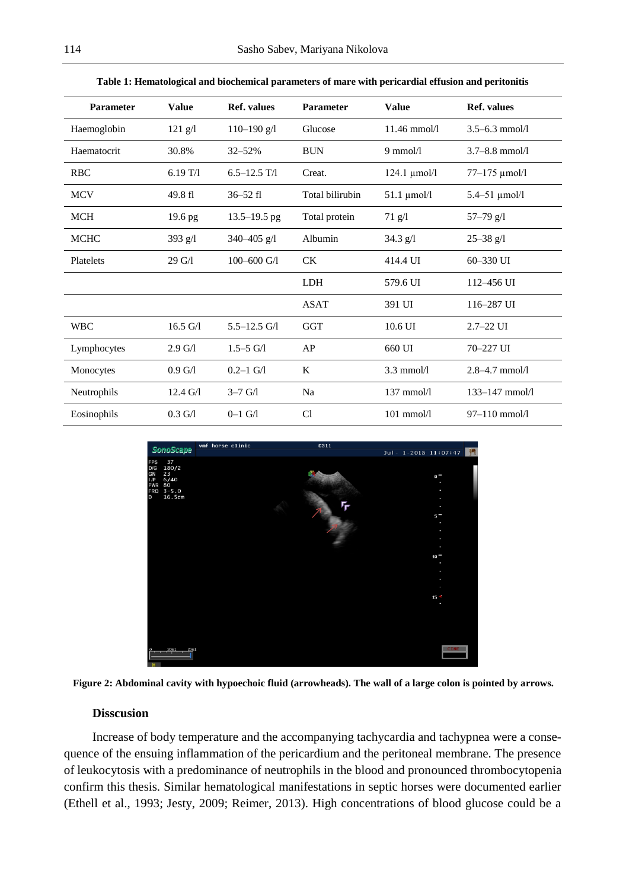| <b>Parameter</b> | <b>Value</b>       | <b>Ref.</b> values | <b>Parameter</b> | <b>Value</b>         | <b>Ref.</b> values   |
|------------------|--------------------|--------------------|------------------|----------------------|----------------------|
| Haemoglobin      | $121$ g/l          | $110 - 190$ g/l    | Glucose          | $11.46$ mmol/l       | $3.5 - 6.3$ mmol/l   |
| Haematocrit      | 30.8%              | $32 - 52%$         | <b>BUN</b>       | $9 \text{ mmol/l}$   | $3.7 - 8.8$ mmol/l   |
| <b>RBC</b>       | 6.19T/1            | $6.5 - 12.5$ T/1   | Creat.           | $124.1 \mu$ mol/l    | 77-175 µmol/l        |
| <b>MCV</b>       | 49.8 fl            | $36 - 52$ fl       | Total bilirubin  | $51.1 \mu$ mol/l     | $5.4 - 51 \mu$ mol/l |
| <b>MCH</b>       | 19.6 <sub>pg</sub> | $13.5 - 19.5$ pg   | Total protein    | $71$ g/l             | $57 - 79$ g/l        |
| <b>MCHC</b>      | 393 $g/l$          | 340-405 $g/l$      | Albumin          | $34.3$ g/l           | $25 - 38$ g/l        |
| Platelets        | 29 G/1             | $100 - 600$ G/1    | <b>CK</b>        | 414.4 UI             | 60-330 UI            |
|                  |                    |                    | <b>LDH</b>       | 579.6 UI             | $112 - 456$ UI       |
|                  |                    |                    | <b>ASAT</b>      | 391 UI               | 116-287 UI           |
| <b>WBC</b>       | $16.5 \text{ G}/1$ | $5.5 - 12.5$ G/1   | GGT              | $10.6$ UI            | $2.7 - 22$ UI        |
| Lymphocytes      | $2.9 \text{ G}/1$  | $1.5 - 5$ G/1      | AP               | 660 UI               | 70-227 UI            |
| Monocytes        | $0.9 \text{ G}/1$  | $0.2 - 1$ G/1      | K                | $3.3 \text{ mmol/l}$ | $2.8 - 4.7$ mmol/l   |
| Neutrophils      | $12.4 \text{ G}/1$ | $3 - 7$ G/1        | Na               | 137 mmol/l           | $133 - 147$ mmol/l   |
| Eosinophils      | $0.3 \text{ G}/1$  | $0 - 1$ G/1        | Cl               | $101$ mmol/ $1$      | $97-110$ mmol/l      |

**Table 1: Hematological and biochemical parameters of mare with pericardial effusion and peritonitis**



**Figure 2: Abdominal cavity with hypoechoic fluid (arrowheads). The wall of a large colon is pointed by arrows.**

## **Disscusion**

Increase of body temperature and the accompanying tachycardia and tachypnea were a consequence of the ensuing inflammation of the pericardium and the peritoneal membrane. The presence of leukocytosis with a predominance of neutrophils in the blood and pronounced thrombocytopenia confirm this thesis. Similar hematological manifestations in septic horses were documented earlier (Ethell et al., 1993; Jesty, 2009; Reimer, 2013). High concentrations of blood glucose could be a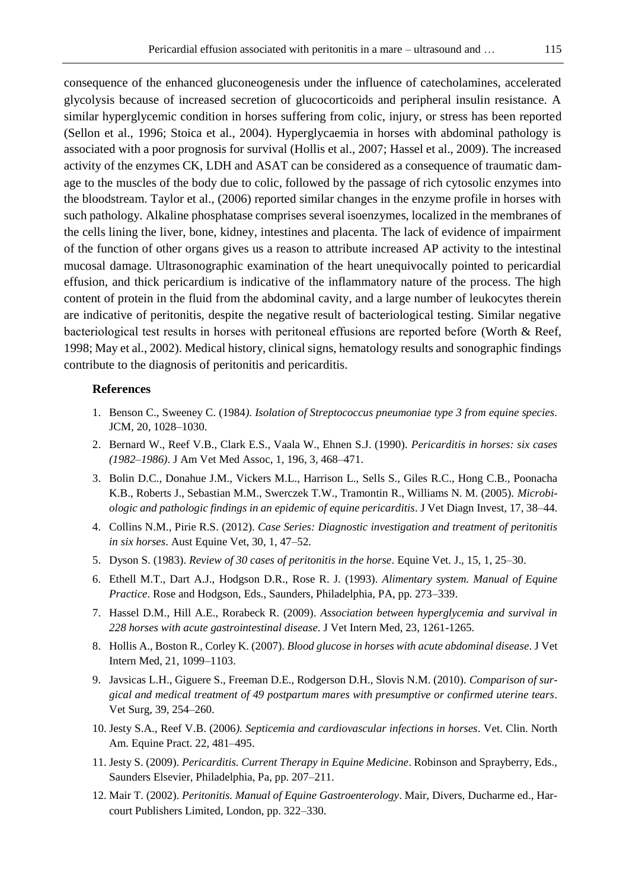consequence of the enhanced gluconeogenesis under the influence of catecholamines, accelerated glycolysis because of increased secretion of glucocorticoids and peripheral insulin resistance. A similar hyperglycemic condition in horses suffering from colic, injury, or stress has been reported (Sellon et al., 1996; Stoica et al., 2004). Hyperglycaemia in horses with abdominal pathology is associated with a poor prognosis for survival (Hollis et al., 2007; Hassel et al., 2009). The increased activity of the enzymes CK, LDH and ASAT can be considered as a consequence of traumatic damage to the muscles of the body due to colic, followed by the passage of rich cytosolic enzymes into the bloodstream. Taylor et al., (2006) reported similar changes in the enzyme profile in horses with such pathology. Alkaline phosphatase comprises several isoenzymes, localized in the membranes of the cells lining the liver, bone, kidney, intestines and placenta. The lack of evidence of impairment of the function of other organs gives us a reason to attribute increased AP activity to the intestinal mucosal damage. Ultrasonographic examination of the heart unequivocally pointed to pericardial effusion, and thick pericardium is indicative of the inflammatory nature of the process. The high content of protein in the fluid from the abdominal cavity, and a large number of leukocytes therein are indicative of peritonitis, despite the negative result of bacteriological testing. Similar negative bacteriological test results in horses with peritoneal effusions аrе reported before (Worth & Reef, 1998; May et al., 2002). Medical history, clinical signs, hematology results and sonographic findings contribute to the diagnosis of peritonitis and pericarditis.

## **References**

- 1. Benson C., Sweeney C. (1984*). Isolation of Streptococcus pneumoniae type 3 from equine species*. JCM, 20, 1028–1030.
- 2. Bernard W., Reef V.B., Clark E.S., Vaala W., Ehnen S.J. (1990). *Pericarditis in horses: six cases (1982*–*1986)*. J Am Vet Med Assoc, 1, 196, 3, 468–471.
- 3. Bolin D.C., Donahue J.M., Vickers M.L., Harrison L., Sells S., Giles R.C., Hong C.B., Poonacha K.B., Roberts J., Sebastian M.M., Swerczek T.W., Tramontin R., Williams N. M. (2005). *Microbiologic and pathologic findings in an epidemic of equine pericarditis*. J Vet Diagn Invest, 17, 38–44.
- 4. Collins N.M., Pirie R.S. (2012). *Case Series: Diagnostic investigation and treatment of peritonitis in six horses*. Aust Equine Vet, 30, 1, 47–52.
- 5. Dyson S. (1983). *Review of 30 cases of peritonitis in the horse*. Equine Vet. J., 15, 1, 25–30.
- 6. Ethell M.T., Dart A.J., Hodgson D.R., Rose R. J. (1993). *Alimentary system. Manual of Equine Practice*. Rose and Hodgson, Eds., Saunders, Philadelphia, PA, pp. 273–339.
- 7. Hassel D.M., Hill A.E., Rorabeck R. (2009). *Association between hyperglycemia and survival in 228 horses with acute gastrointestinal disease*. J Vet Intern Med, 23, 1261-1265.
- 8. Hollis A., Boston R., Corley K. (2007). *Blood glucose in horses with acute abdominal disease*. J Vet Intern Med, 21, 1099–1103.
- 9. Javsicas L.H., Giguere S., Freeman D.E., Rodgerson D.H., Slovis N.M. (2010). *Comparison of surgical and medical treatment of 49 postpartum mares with presumptive or confirmed uterine tears*. Vet Surg, 39, 254–260.
- 10. Jesty S.A., Reef V.B. (2006*). Septicemia and cardiovascular infections in horses*. Vet. Clin. North Am. Equine Pract. 22, 481–495.
- 11. Jesty S. (2009). *Pericarditis. Current Therapy in Equine Medicine*. Robinson and Sprayberry, Eds., Saunders Elsevier, Philadelphia, Pa, pp. 207–211.
- 12. Mair T. (2002). *Peritonitis. Manual of Equine Gastroenterology*. Mair, Divers, Ducharme ed., Harcourt Publishers Limited, London, pp. 322–330.